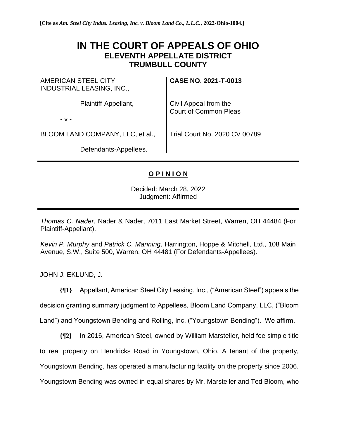## **IN THE COURT OF APPEALS OF OHIO ELEVENTH APPELLATE DISTRICT TRUMBULL COUNTY**

AMERICAN STEEL CITY INDUSTRIAL LEASING, INC., Plaintiff-Appellant, - v - BLOOM LAND COMPANY, LLC, et al., Defendants-Appellees. **CASE NO. 2021-T-0013** Civil Appeal from the Court of Common Pleas Trial Court No. 2020 CV 00789

## **O P I N I O N**

Decided: March 28, 2022 Judgment: Affirmed

*Thomas C. Nader*, Nader & Nader, 7011 East Market Street, Warren, OH 44484 (For Plaintiff-Appellant).

*Kevin P. Murphy* and *Patrick C. Manning*, Harrington, Hoppe & Mitchell, Ltd., 108 Main Avenue, S.W., Suite 500, Warren, OH 44481 (For Defendants-Appellees).

JOHN J. EKLUND, J.

**{¶1}** Appellant, American Steel City Leasing, Inc., ("American Steel") appeals the decision granting summary judgment to Appellees, Bloom Land Company, LLC, ("Bloom

Land") and Youngstown Bending and Rolling, Inc. ("Youngstown Bending"). We affirm.

**{¶2}** In 2016, American Steel, owned by William Marsteller, held fee simple title to real property on Hendricks Road in Youngstown, Ohio. A tenant of the property, Youngstown Bending, has operated a manufacturing facility on the property since 2006. Youngstown Bending was owned in equal shares by Mr. Marsteller and Ted Bloom, who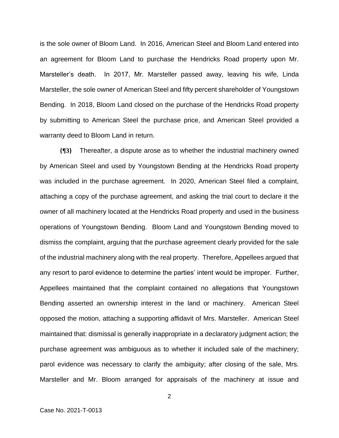is the sole owner of Bloom Land. In 2016, American Steel and Bloom Land entered into an agreement for Bloom Land to purchase the Hendricks Road property upon Mr. Marsteller's death. In 2017, Mr. Marsteller passed away, leaving his wife, Linda Marsteller, the sole owner of American Steel and fifty percent shareholder of Youngstown Bending. In 2018, Bloom Land closed on the purchase of the Hendricks Road property by submitting to American Steel the purchase price, and American Steel provided a warranty deed to Bloom Land in return.

**{¶3}** Thereafter, a dispute arose as to whether the industrial machinery owned by American Steel and used by Youngstown Bending at the Hendricks Road property was included in the purchase agreement. In 2020, American Steel filed a complaint, attaching a copy of the purchase agreement, and asking the trial court to declare it the owner of all machinery located at the Hendricks Road property and used in the business operations of Youngstown Bending. Bloom Land and Youngstown Bending moved to dismiss the complaint, arguing that the purchase agreement clearly provided for the sale of the industrial machinery along with the real property. Therefore, Appellees argued that any resort to parol evidence to determine the parties' intent would be improper. Further, Appellees maintained that the complaint contained no allegations that Youngstown Bending asserted an ownership interest in the land or machinery. American Steel opposed the motion, attaching a supporting affidavit of Mrs. Marsteller. American Steel maintained that: dismissal is generally inappropriate in a declaratory judgment action; the purchase agreement was ambiguous as to whether it included sale of the machinery; parol evidence was necessary to clarify the ambiguity; after closing of the sale, Mrs. Marsteller and Mr. Bloom arranged for appraisals of the machinery at issue and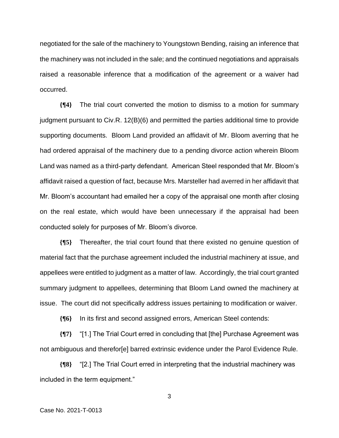negotiated for the sale of the machinery to Youngstown Bending, raising an inference that the machinery was not included in the sale; and the continued negotiations and appraisals raised a reasonable inference that a modification of the agreement or a waiver had occurred.

**{¶4}** The trial court converted the motion to dismiss to a motion for summary judgment pursuant to Civ.R. 12(B)(6) and permitted the parties additional time to provide supporting documents. Bloom Land provided an affidavit of Mr. Bloom averring that he had ordered appraisal of the machinery due to a pending divorce action wherein Bloom Land was named as a third-party defendant. American Steel responded that Mr. Bloom's affidavit raised a question of fact, because Mrs. Marsteller had averred in her affidavit that Mr. Bloom's accountant had emailed her a copy of the appraisal one month after closing on the real estate, which would have been unnecessary if the appraisal had been conducted solely for purposes of Mr. Bloom's divorce.

**{¶5}** Thereafter, the trial court found that there existed no genuine question of material fact that the purchase agreement included the industrial machinery at issue, and appellees were entitled to judgment as a matter of law. Accordingly, the trial court granted summary judgment to appellees, determining that Bloom Land owned the machinery at issue. The court did not specifically address issues pertaining to modification or waiver.

**{¶6}** In its first and second assigned errors, American Steel contends:

**{¶7}** "[1.] The Trial Court erred in concluding that [the] Purchase Agreement was not ambiguous and therefor[e] barred extrinsic evidence under the Parol Evidence Rule.

**{¶8}** "[2.] The Trial Court erred in interpreting that the industrial machinery was included in the term equipment."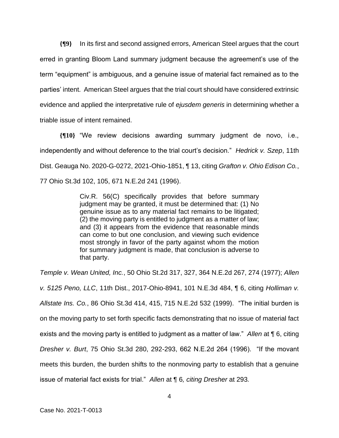**{¶9}** In its first and second assigned errors, American Steel argues that the court erred in granting Bloom Land summary judgment because the agreement's use of the term "equipment" is ambiguous, and a genuine issue of material fact remained as to the parties' intent. American Steel argues that the trial court should have considered extrinsic evidence and applied the interpretative rule of *ejusdem generis* in determining whether a triable issue of intent remained.

**{¶10}** "We review decisions awarding summary judgment de novo, i.e., independently and without deference to the trial court's decision." *Hedrick v. Szep*, 11th Dist. Geauga No. 2020-G-0272, 2021-Ohio-1851, ¶ 13, citing *Grafton v. Ohio Edison Co.*, 77 Ohio St.3d 102, 105, 671 N.E.2d 241 (1996).

> Civ.R. 56(C) specifically provides that before summary judgment may be granted, it must be determined that: (1) No genuine issue as to any material fact remains to be litigated; (2) the moving party is entitled to judgment as a matter of law; and (3) it appears from the evidence that reasonable minds can come to but one conclusion, and viewing such evidence most strongly in favor of the party against whom the motion for summary judgment is made, that conclusion is adverse to that party.

*Temple v. Wean United, Inc.*, 50 Ohio St.2d 317, 327, 364 N.E.2d 267, 274 (1977); *Allen v. 5125 Peno, LLC*, 11th Dist., 2017-Ohio-8941, 101 N.E.3d 484, ¶ 6, citing *Holliman v. Allstate Ins. Co.*, 86 Ohio St.3d 414, 415, 715 N.E.2d 532 (1999). "The initial burden is on the moving party to set forth specific facts demonstrating that no issue of material fact exists and the moving party is entitled to judgment as a matter of law." *Allen* at ¶ 6, citing *Dresher v. Burt*, 75 Ohio St.3d 280, 292-293, 662 N.E.2d 264 (1996). "If the movant meets this burden, the burden shifts to the nonmoving party to establish that a genuine issue of material fact exists for trial." *Allen* at ¶ 6*, citing Dresher* at 293*.*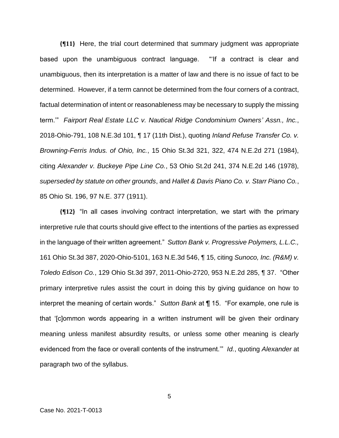**{¶11}** Here, the trial court determined that summary judgment was appropriate based upon the unambiguous contract language. "'If a contract is clear and unambiguous, then its interpretation is a matter of law and there is no issue of fact to be determined. However, if a term cannot be determined from the four corners of a contract, factual determination of intent or reasonableness may be necessary to supply the missing term.'" *Fairport Real Estate LLC v. Nautical Ridge Condominium Owners' Assn., Inc.*, 2018-Ohio-791, 108 N.E.3d 101, ¶ 17 (11th Dist.), quoting *Inland Refuse Transfer Co. v. Browning-Ferris Indus. of Ohio, Inc.*, 15 Ohio St.3d 321, 322, 474 N.E.2d 271 (1984), citing *Alexander v. Buckeye Pipe Line Co.*, 53 Ohio St.2d 241, 374 N.E.2d 146 (1978), *superseded by statute on other grounds*, and *Hallet & Davis Piano Co. v. Starr Piano Co.*, 85 Ohio St. 196, 97 N.E. 377 (1911).

**{¶12}** "In all cases involving contract interpretation, we start with the primary interpretive rule that courts should give effect to the intentions of the parties as expressed in the language of their written agreement." *Sutton Bank v. Progressive Polymers, L.L.C.,* 161 Ohio St.3d 387, 2020-Ohio-5101, 163 N.E.3d 546, ¶ 15, citing *Sunoco, Inc. (R&M) v. Toledo Edison Co.*, 129 Ohio St.3d 397, 2011-Ohio-2720, 953 N.E.2d 285, ¶ 37. "Other primary interpretive rules assist the court in doing this by giving guidance on how to interpret the meaning of certain words." *Sutton Bank* at ¶ 15. "For example, one rule is that '[c]ommon words appearing in a written instrument will be given their ordinary meaning unless manifest absurdity results, or unless some other meaning is clearly evidenced from the face or overall contents of the instrument.'" *Id.*, quoting *Alexander* at paragraph two of the syllabus.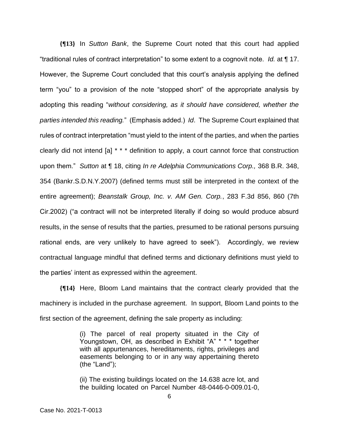**{¶13}** In *Sutton Bank*, the Supreme Court noted that this court had applied "traditional rules of contract interpretation" to some extent to a cognovit note. *Id.* at ¶ 17. However, the Supreme Court concluded that this court's analysis applying the defined term "you" to a provision of the note "stopped short" of the appropriate analysis by adopting this reading "*without considering, as it should have considered, whether the parties intended this reading.*" (Emphasis added.) *Id*. The Supreme Court explained that rules of contract interpretation "must yield to the intent of the parties, and when the parties clearly did not intend [a] \* \* \* definition to apply, a court cannot force that construction upon them." *Sutton* at ¶ 18, citing *In re Adelphia Communications Corp.,* 368 B.R. 348, 354 (Bankr.S.D.N.Y.2007) (defined terms must still be interpreted in the context of the entire agreement); *Beanstalk Group, Inc. v. AM Gen. Corp.*, 283 F.3d 856, 860 (7th Cir.2002) ("a contract will not be interpreted literally if doing so would produce absurd results, in the sense of results that the parties, presumed to be rational persons pursuing rational ends, are very unlikely to have agreed to seek"). Accordingly, we review contractual language mindful that defined terms and dictionary definitions must yield to the parties' intent as expressed within the agreement.

**{¶14}** Here, Bloom Land maintains that the contract clearly provided that the machinery is included in the purchase agreement. In support, Bloom Land points to the first section of the agreement, defining the sale property as including:

> (i) The parcel of real property situated in the City of Youngstown, OH, as described in Exhibit "A" \* \* \* together with all appurtenances, hereditaments, rights, privileges and easements belonging to or in any way appertaining thereto (the "Land");

> (ii) The existing buildings located on the 14.638 acre lot, and the building located on Parcel Number 48-0446-0-009.01-0,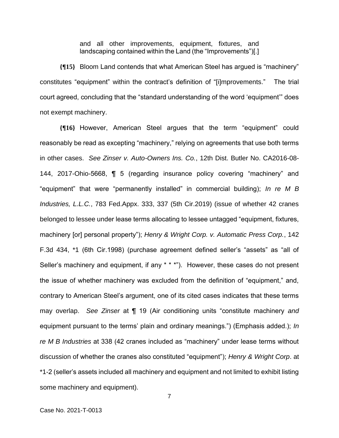and all other improvements, equipment, fixtures, and landscaping contained within the Land (the "Improvements")[.]

**{¶15}** Bloom Land contends that what American Steel has argued is "machinery" constitutes "equipment" within the contract's definition of "[i]mprovements." The trial court agreed, concluding that the "standard understanding of the word 'equipment'" does not exempt machinery.

**{¶16}** However, American Steel argues that the term "equipment" could reasonably be read as excepting "machinery," relying on agreements that use both terms in other cases. *See Zinser v. Auto-Owners Ins. Co.*, 12th Dist. Butler No. CA2016-08- 144, 2017-Ohio-5668, ¶ 5 (regarding insurance policy covering "machinery" and "equipment" that were "permanently installed" in commercial building); *In re M B Industries, L.L.C.*, 783 Fed.Appx. 333, 337 (5th Cir.2019) (issue of whether 42 cranes belonged to lessee under lease terms allocating to lessee untagged "equipment, fixtures, machinery [or] personal property"); *Henry & Wright Corp. v. Automatic Press Corp.*, 142 F.3d 434, \*1 (6th Cir.1998) (purchase agreement defined seller's "assets" as "all of Seller's machinery and equipment, if any \* \* \*"). However, these cases do not present the issue of whether machinery was excluded from the definition of "equipment," and, contrary to American Steel's argument, one of its cited cases indicates that these terms may overlap. *See Zinser* at ¶ 19 (Air conditioning units "constitute machinery *and* equipment pursuant to the terms' plain and ordinary meanings.") (Emphasis added.); *In re M B Industries* at 338 (42 cranes included as "machinery" under lease terms without discussion of whether the cranes also constituted "equipment"); *Henry & Wright Corp*. at \*1-2 (seller's assets included all machinery and equipment and not limited to exhibit listing some machinery and equipment).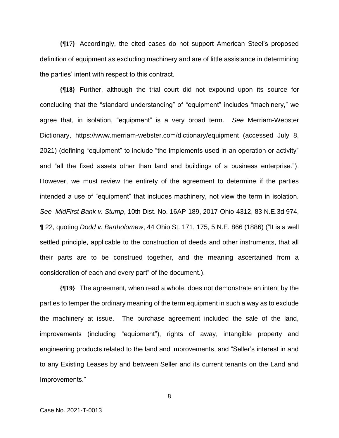**{¶17}** Accordingly, the cited cases do not support American Steel's proposed definition of equipment as excluding machinery and are of little assistance in determining the parties' intent with respect to this contract.

**{¶18}** Further, although the trial court did not expound upon its source for concluding that the "standard understanding" of "equipment" includes "machinery," we agree that, in isolation, "equipment" is a very broad term. *See* Merriam-Webster Dictionary, https://www.merriam-webster.com/dictionary/equipment (accessed July 8, 2021) (defining "equipment" to include "the implements used in an operation or activity" and "all the fixed assets other than land and buildings of a business enterprise."). However, we must review the entirety of the agreement to determine if the parties intended a use of "equipment" that includes machinery, not view the term in isolation. *See MidFirst Bank v. Stump*, 10th Dist. No. 16AP-189, 2017-Ohio-4312, 83 N.E.3d 974, ¶ 22, quoting *Dodd v. Bartholomew*, 44 Ohio St. 171, 175, 5 N.E. 866 (1886) ("It is a well settled principle, applicable to the construction of deeds and other instruments, that all their parts are to be construed together, and the meaning ascertained from a consideration of each and every part" of the document.).

**{¶19}** The agreement, when read a whole, does not demonstrate an intent by the parties to temper the ordinary meaning of the term equipment in such a way as to exclude the machinery at issue. The purchase agreement included the sale of the land, improvements (including "equipment"), rights of away, intangible property and engineering products related to the land and improvements, and "Seller's interest in and to any Existing Leases by and between Seller and its current tenants on the Land and Improvements."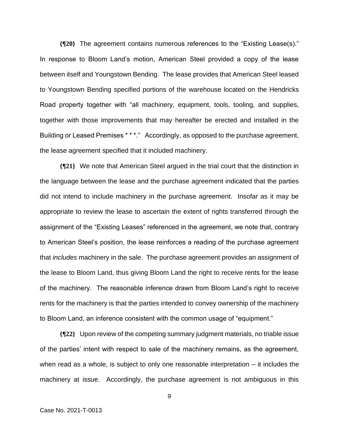**{¶20}** The agreement contains numerous references to the "Existing Lease(s)." In response to Bloom Land's motion, American Steel provided a copy of the lease between itself and Youngstown Bending. The lease provides that American Steel leased to Youngstown Bending specified portions of the warehouse located on the Hendricks Road property together with "all machinery, equipment, tools, tooling, and supplies, together with those improvements that may hereafter be erected and installed in the Building or Leased Premises \* \* \*." Accordingly, as opposed to the purchase agreement, the lease agreement specified that it included machinery.

**{¶21}** We note that American Steel argued in the trial court that the distinction in the language between the lease and the purchase agreement indicated that the parties did not intend to include machinery in the purchase agreement. Insofar as it may be appropriate to review the lease to ascertain the extent of rights transferred through the assignment of the "Existing Leases" referenced in the agreement, we note that, contrary to American Steel's position, the lease reinforces a reading of the purchase agreement that *includes* machinery in the sale. The purchase agreement provides an assignment of the lease to Bloom Land, thus giving Bloom Land the right to receive rents for the lease of the machinery. The reasonable inference drawn from Bloom Land's right to receive rents for the machinery is that the parties intended to convey ownership of the machinery to Bloom Land, an inference consistent with the common usage of "equipment."

**{¶22}** Upon review of the competing summary judgment materials, no triable issue of the parties' intent with respect to sale of the machinery remains, as the agreement, when read as a whole, is subject to only one reasonable interpretation – it includes the machinery at issue. Accordingly, the purchase agreement is not ambiguous in this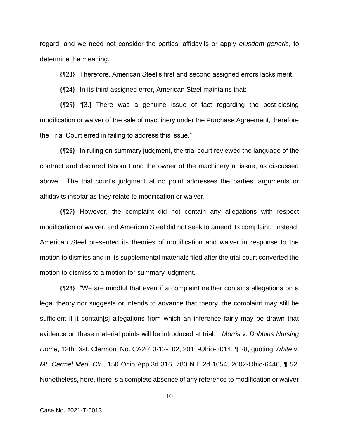regard, and we need not consider the parties' affidavits or apply *ejusdem generis*, to determine the meaning.

**{¶23}** Therefore, American Steel's first and second assigned errors lacks merit.

**{¶24}** In its third assigned error, American Steel maintains that:

**{¶25}** "[3.] There was a genuine issue of fact regarding the post-closing modification or waiver of the sale of machinery under the Purchase Agreement, therefore the Trial Court erred in failing to address this issue."

**{¶26}** In ruling on summary judgment, the trial court reviewed the language of the contract and declared Bloom Land the owner of the machinery at issue, as discussed above. The trial court's judgment at no point addresses the parties' arguments or affidavits insofar as they relate to modification or waiver.

**{¶27}** However, the complaint did not contain any allegations with respect modification or waiver, and American Steel did not seek to amend its complaint. Instead, American Steel presented its theories of modification and waiver in response to the motion to dismiss and in its supplemental materials filed after the trial court converted the motion to dismiss to a motion for summary judgment.

**{¶28}** "We are mindful that even if a complaint neither contains allegations on a legal theory nor suggests or intends to advance that theory, the complaint may still be sufficient if it contain[s] allegations from which an inference fairly may be drawn that evidence on these material points will be introduced at trial." *Morris v. Dobbins Nursing Home*, 12th Dist. Clermont No. CA2010-12-102, 2011-Ohio-3014, ¶ 28, quoting *White v. Mt. Carmel Med. Ctr*., 150 Ohio App.3d 316, 780 N.E.2d 1054, 2002-Ohio-6446, ¶ 52. Nonetheless, here, there is a complete absence of any reference to modification or waiver